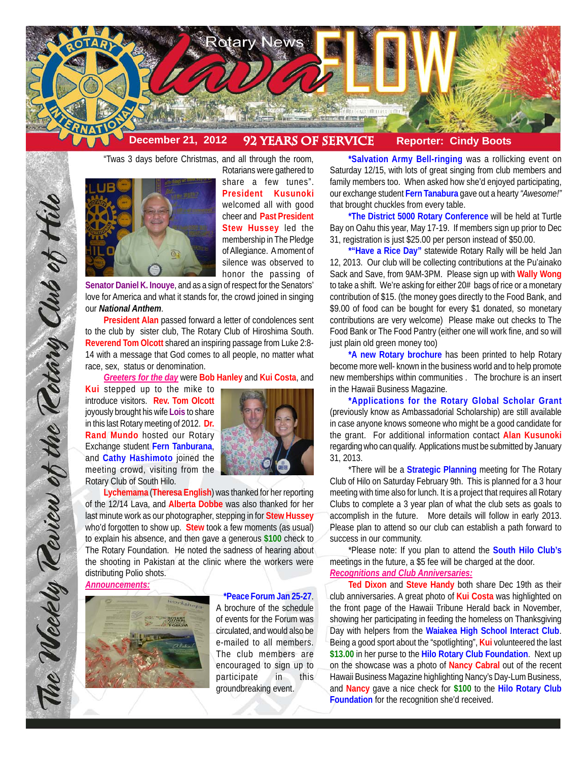

"Twas 3 days before Christmas, and all through the room,



Rotarians were gathered to share a few tunes". **President Kusunoki** welcomed all with good cheer and **Past President Stew Hussey** led the membership in The Pledge of Allegiance. A moment of silence was observed to honor the passing of

**Senator Daniel K. Inouye**, and as a sign of respect for the Senators' love for America and what it stands for, the crowd joined in singing our *National Anthem*.

**President Alan** passed forward a letter of condolences sent to the club by sister club, The Rotary Club of Hiroshima South. **Reverend Tom Olcott** shared an inspiring passage from Luke 2:8- 14 with a message that God comes to all people, no matter what race, sex, status or denomination.

*Greeters for the day* were **Bob Hanley** and **Kui Costa**, and

**Kui** stepped up to the mike to introduce visitors. **Rev. Tom Olcott** joyously brought his wife **Lois** to share in this last Rotary meeting of 2012. **Dr. Rand Mundo** hosted our Rotary Exchange student **Fern Tanburana**, and **Cathy Hashimoto** joined the meeting crowd, visiting from the Rotary Club of South Hilo.



**Lychemama** (**Theresa English**) was thanked for her reporting of the 12/14 Lava, and **Alberta Dobbe** was also thanked for her last minute work as our photographer, stepping in for **Stew Hussey** who'd forgotten to show up. **Stew** took a few moments (as usual) to explain his absence, and then gave a generous **\$100** check to The Rotary Foundation. He noted the sadness of hearing about the shooting in Pakistan at the clinic where the workers were distributing Polio shots.

*Announcements:*



**\*Peace Forum Jan 25-27**. A brochure of the schedule of events for the Forum was circulated, and would also be e-mailed to all members. The club members are encouraged to sign up to participate in this groundbreaking event.

**\*Salvation Army Bell-ringing** was a rollicking event on Saturday 12/15, with lots of great singing from club members and family members too. When asked how she'd enjoyed participating, our exchange student **Fern Tanabura** gave out a hearty *"Awesome!"* that brought chuckles from every table.

**\*The District 5000 Rotary Conference** will be held at Turtle Bay on Oahu this year, May 17-19. If members sign up prior to Dec 31, registration is just \$25.00 per person instead of \$50.00.

**\*"Have a Rice Day"** statewide Rotary Rally will be held Jan 12, 2013. Our club will be collecting contributions at the Pu'ainako Sack and Save, from 9AM-3PM. Please sign up with **Wally Wong** to take a shift. We're asking for either 20# bags of rice or a monetary contribution of \$15. (the money goes directly to the Food Bank, and \$9.00 of food can be bought for every \$1 donated, so monetary contributions are very welcome) Please make out checks to The Food Bank or The Food Pantry (either one will work fine, and so will just plain old green money too)

**\*A new Rotary brochure** has been printed to help Rotary become more well- known in the business world and to help promote new memberships within communities . The brochure is an insert in the Hawaii Business Magazine.

**\*Applications for the Rotary Global Scholar Grant** (previously know as Ambassadorial Scholarship) are still available in case anyone knows someone who might be a good candidate for the grant. For additional information contact **Alan Kusunoki** regarding who can qualify. Applications must be submitted by January 31, 2013.

\*There will be a **Strategic Planning** meeting for The Rotary Club of Hilo on Saturday February 9th. This is planned for a 3 hour meeting with time also for lunch. It is a project that requires all Rotary Clubs to complete a 3 year plan of what the club sets as goals to accomplish in the future. More details will follow in early 2013. Please plan to attend so our club can establish a path forward to success in our community.

\*Please note: If you plan to attend the **South Hilo Club's** meetings in the future, a \$5 fee will be charged at the door.

*Recognitions and Club Anniversaries:*

**Ted Dixon** and **Steve Handy** both share Dec 19th as their club anniversaries. A great photo of **Kui Costa** was highlighted on the front page of the Hawaii Tribune Herald back in November, showing her participating in feeding the homeless on Thanksgiving Day with helpers from the **Waiakea High School Interact Club**. Being a good sport about the "spotlighting", **Kui** volunteered the last **\$13.00** in her purse to the **Hilo Rotary Club Foundation**. Next up on the showcase was a photo of **Nancy Cabral** out of the recent Hawaii Business Magazine highlighting Nancy's Day-Lum Business, and **Nancy** gave a nice check for **\$100** to the **Hilo Rotary Club Foundation** for the recognition she'd received.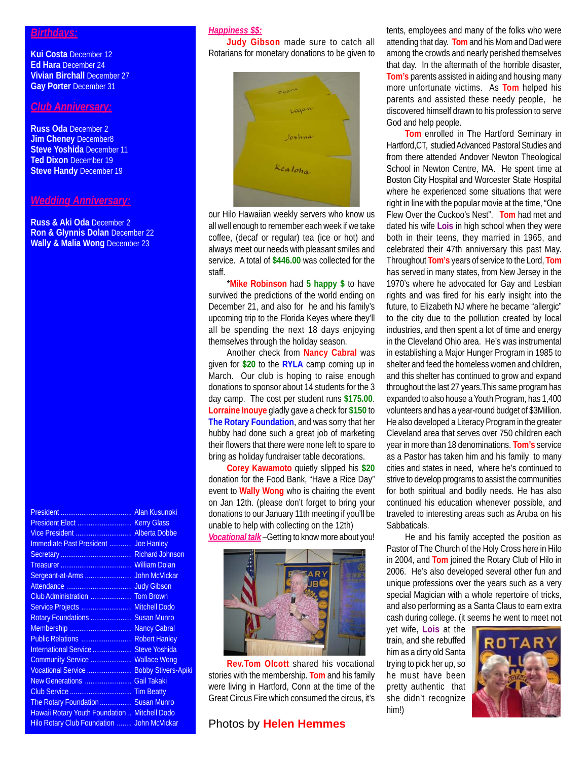#### *Birthdays:*

**Kui Costa** December 12 **Ed Hara** December 24 **Vivian Birchall** December 27 **Gay Porter** December 31

## *Club Anniversary:*

**Russ Oda** December 2 **Jim Cheney** December8 **Steve Yoshida** December 11 **Ted Dixon December 19 Steve Handy December 19** 

### *Wedding Anniversary:*

**Russ & Aki Oda** December 2 **Ron & Glynnis Dolan** December 22 **Wally & Malia Wong** December 23

| Vice President  Alberta Dobbe                 |  |
|-----------------------------------------------|--|
| Immediate Past President  Joe Hanley          |  |
|                                               |  |
|                                               |  |
|                                               |  |
|                                               |  |
|                                               |  |
| Service Projects  Mitchell Dodo               |  |
| Rotary Foundations  Susan Munro               |  |
| Membership  Nancy Cabral                      |  |
| Public Relations  Robert Hanley               |  |
| International Service  Steve Yoshida          |  |
| Community Service  Wallace Wong               |  |
| Vocational Service  Bobby Stivers-Apiki       |  |
| New Generations  Gail Takaki                  |  |
|                                               |  |
| The Rotary Foundation  Susan Munro            |  |
| Hawaii Rotary Youth Foundation  Mitchell Dodo |  |
| Hilo Rotary Club Foundation  John McVickar    |  |
|                                               |  |

# *Happiness \$\$:*

**Judy Gibson** made sure to catch all Rotarians for monetary donations to be given to



our Hilo Hawaiian weekly servers who know us all well enough to remember each week if we take coffee, (decaf or regular) tea (ice or hot) and always meet our needs with pleasant smiles and service. A total of **\$446.00** was collected for the staff.

\***Mike Robinson** had **5 happy \$** to have survived the predictions of the world ending on December 21, and also for he and his family's upcoming trip to the Florida Keyes where they'll all be spending the next 18 days enjoying themselves through the holiday season.

Another check from **Nancy Cabral** was given for **\$20** to the **RYLA** camp coming up in March. Our club is hoping to raise enough donations to sponsor about 14 students for the 3 day camp. The cost per student runs **\$175.00**. **Lorraine Inouye** gladly gave a check for **\$150** to **The Rotary Foundation**, and was sorry that her hubby had done such a great job of marketing their flowers that there were none left to spare to bring as holiday fundraiser table decorations.

**Corey Kawamoto** quietly slipped his **\$20** donation for the Food Bank, "Have a Rice Day" event to **Wally Wong** who is chairing the event on Jan 12th. (please don't forget to bring your donations to our January 11th meeting if you'll be unable to help with collecting on the 12th)

*Vocational talk* –Getting to know more about you!



**Rev.Tom Olcott** shared his vocational stories with the membership. **Tom** and his family were living in Hartford, Conn at the time of the Great Circus Fire which consumed the circus, it's

### Photos by **Helen Hemmes**

tents, employees and many of the folks who were attending that day. **Tom** and his Mom and Dad were among the crowds and nearly perished themselves that day. In the aftermath of the horrible disaster, **Tom's** parents assisted in aiding and housing many more unfortunate victims. As **Tom** helped his parents and assisted these needy people, he discovered himself drawn to his profession to serve God and help people.

**Tom** enrolled in The Hartford Seminary in Hartford,CT, studied Advanced Pastoral Studies and from there attended Andover Newton Theological School in Newton Centre, MA. He spent time at Boston City Hospital and Worcester State Hospital where he experienced some situations that were right in line with the popular movie at the time, "One Flew Over the Cuckoo's Nest". **Tom** had met and dated his wife **Lois** in high school when they were both in their teens, they married in 1965, and celebrated their 47th anniversary this past May. Throughout **Tom's** years of service to the Lord, **Tom** has served in many states, from New Jersey in the 1970's where he advocated for Gay and Lesbian rights and was fired for his early insight into the future, to Elizabeth NJ where he became "allergic" to the city due to the pollution created by local industries, and then spent a lot of time and energy in the Cleveland Ohio area. He's was instrumental in establishing a Major Hunger Program in 1985 to shelter and feed the homeless women and children, and this shelter has continued to grow and expand throughout the last 27 years.This same program has expanded to also house a Youth Program, has 1,400 volunteers and has a year-round budget of \$3Million. He also developed a Literacy Program in the greater Cleveland area that serves over 750 children each year in more than 18 denominations. **Tom's** service as a Pastor has taken him and his family to many cities and states in need, where he's continued to strive to develop programs to assist the communities for both spiritual and bodily needs. He has also continued his education whenever possible, and traveled to interesting areas such as Aruba on his Sabbaticals.

He and his family accepted the position as Pastor of The Church of the Holy Cross here in Hilo in 2004, and **Tom** joined the Rotary Club of Hilo in 2006. He's also developed several other fun and unique professions over the years such as a very special Magician with a whole repertoire of tricks, and also performing as a Santa Claus to earn extra cash during college. (it seems he went to meet not

yet wife, **Lois** at the train, and she rebuffed him as a dirty old Santa trying to pick her up, so he must have been pretty authentic that she didn't recognize him!)